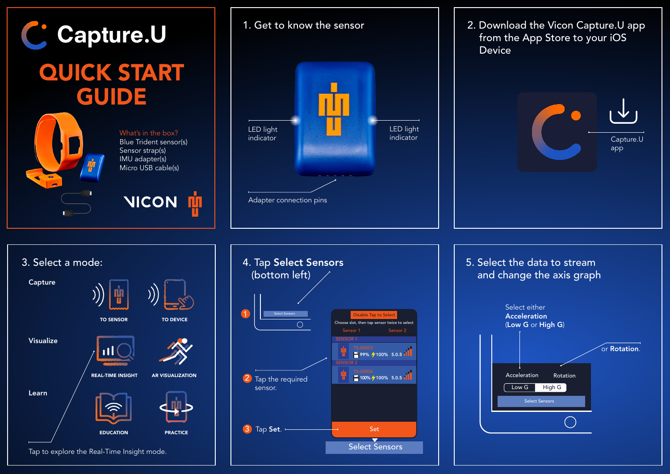



2. Download the Vicon Capture.U app from the App Store to your iOS Device





Tap to explore the Real-Time Insight mode.

![](_page_0_Picture_7.jpeg)

5. Select the data to stream and change the axis graph Select either Acceleration (Low G or High G) or Rotation. Select Sensors Acceleration Rotation Low G High G